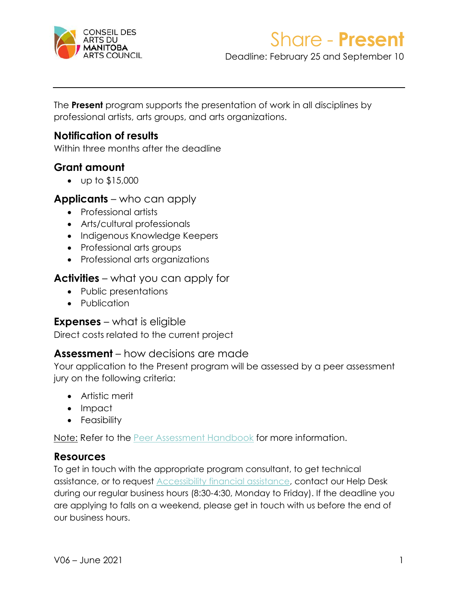

Deadline: February 25 and September 10

The **Present** program supports the presentation of work in all disciplines by professional artists, arts groups, and arts organizations.

### **Notification of results**

Within three months after the deadline

### **Grant amount**

• up to \$15,000

#### **Applicants** – who can apply

- Professional artists
- Arts/cultural professionals
- Indigenous Knowledge Keepers
- Professional arts groups
- Professional arts organizations

### **Activities** – what you can apply for

- Public presentations
- Publication

#### **Expenses** – what is eligible

Direct costs related to the current project

#### **Assessment** – how decisions are made

Your application to the Present program will be assessed by a peer assessment jury on the following criteria:

- Artistic merit
- Impact
- Feasibility

Note: Refer to the [Peer Assessment Handbook](https://artscouncil.mb.ca/grants/peer-assessment/) for more information.

#### **Resources**

To get in touch with the appropriate program consultant, to get technical assistance, or to request [Accessibility financial assistance,](https://artscouncil.mb.ca/grants/accessibility/) contact our Help Desk during our regular business hours (8:30-4:30, Monday to Friday). If the deadline you are applying to falls on a weekend, please get in touch with us before the end of our business hours.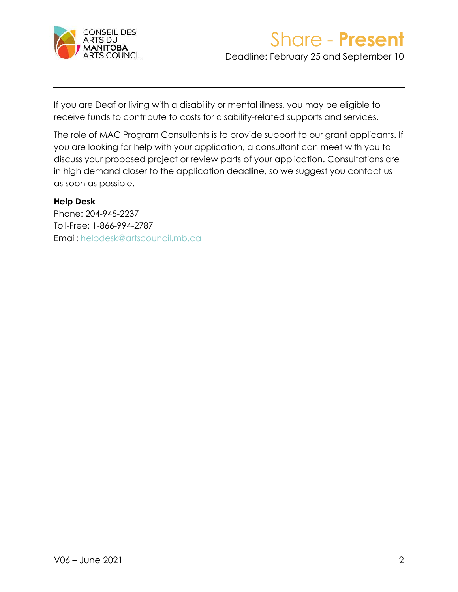

Deadline: February 25 and September 10

If you are Deaf or living with a disability or mental illness, you may be eligible to receive funds to contribute to costs for disability-related supports and services.

The role of MAC Program Consultants is to provide support to our grant applicants. If you are looking for help with your application, a consultant can meet with you to discuss your proposed project or review parts of your application. Consultations are in high demand closer to the application deadline, so we suggest you contact us as soon as possible.

#### **Help Desk**

Phone: 204-945-2237 Toll-Free: 1-866-994-2787 Email: [helpdesk@artscouncil.mb.ca](mailto:helpdesk@artscouncil.mb.ca)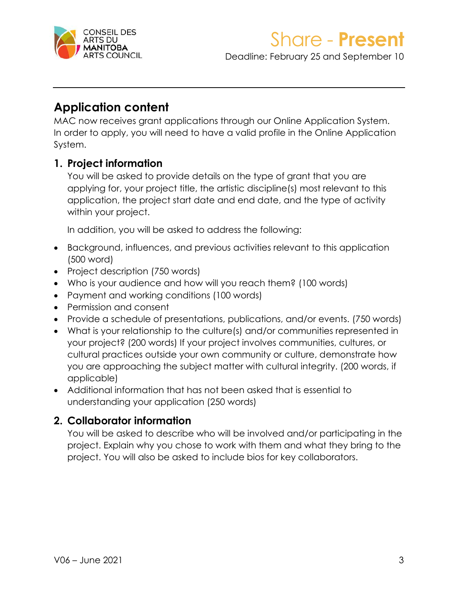

Deadline: February 25 and September 10

### **Application content**

MAC now receives grant applications through our Online Application System. In order to apply, you will need to have a valid profile in the Online Application System.

### **1. Project information**

You will be asked to provide details on the type of grant that you are applying for, your project title, the artistic discipline(s) most relevant to this application, the project start date and end date, and the type of activity within your project.

In addition, you will be asked to address the following:

- Background, influences, and previous activities relevant to this application (500 word)
- Project description (750 words)
- Who is your audience and how will you reach them? (100 words)
- Payment and working conditions (100 words)
- Permission and consent
- Provide a schedule of presentations, publications, and/or events. (750 words)
- What is your relationship to the culture(s) and/or communities represented in your project? (200 words) If your project involves communities, cultures, or cultural practices outside your own community or culture, demonstrate how you are approaching the subject matter with cultural integrity. (200 words, if applicable)
- Additional information that has not been asked that is essential to understanding your application (250 words)

#### **2. Collaborator information**

You will be asked to describe who will be involved and/or participating in the project. Explain why you chose to work with them and what they bring to the project. You will also be asked to include bios for key collaborators.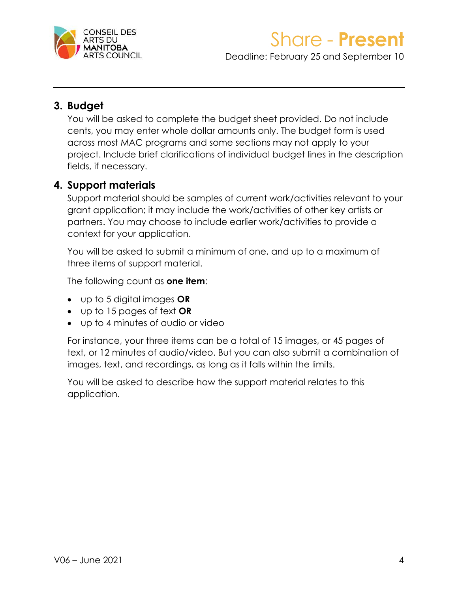

Deadline: February 25 and September 10

### **3. Budget**

You will be asked to complete the budget sheet provided. Do not include cents, you may enter whole dollar amounts only. The budget form is used across most MAC programs and some sections may not apply to your project. Include brief clarifications of individual budget lines in the description fields, if necessary.

### **4. Support materials**

Support material should be samples of current work/activities relevant to your grant application; it may include the work/activities of other key artists or partners. You may choose to include earlier work/activities to provide a context for your application.

You will be asked to submit a minimum of one, and up to a maximum of three items of support material.

The following count as **one item**:

- up to 5 digital images **OR**
- up to 15 pages of text **OR**
- up to 4 minutes of audio or video

For instance, your three items can be a total of 15 images, or 45 pages of text, or 12 minutes of audio/video. But you can also submit a combination of images, text, and recordings, as long as it falls within the limits.

You will be asked to describe how the support material relates to this application.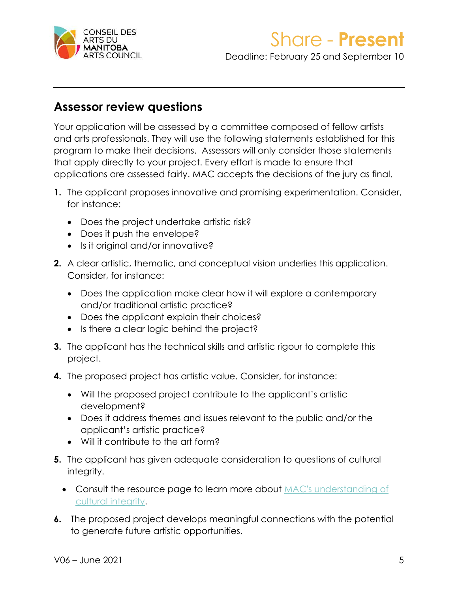

Deadline: February 25 and September 10

### **Assessor review questions**

Your application will be assessed by a committee composed of fellow artists and arts professionals. They will use the following statements established for this program to make their decisions. Assessors will only consider those statements that apply directly to your project. Every effort is made to ensure that applications are assessed fairly. MAC accepts the decisions of the jury as final.

- **1.** The applicant proposes innovative and promising experimentation. Consider, for instance:
	- Does the project undertake artistic risk?
	- Does it push the envelope?
	- Is it original and/or innovative?
- **2.** A clear artistic, thematic, and conceptual vision underlies this application. Consider, for instance:
	- Does the application make clear how it will explore a contemporary and/or traditional artistic practice?
	- Does the applicant explain their choices?
	- Is there a clear logic behind the project?
- **3.** The applicant has the technical skills and artistic rigour to complete this project.
- **4.** The proposed project has artistic value. Consider, for instance:
	- Will the proposed project contribute to the applicant's artistic development?
	- Does it address themes and issues relevant to the public and/or the applicant's artistic practice?
	- Will it contribute to the art form?
- **5.** The applicant has given adequate consideration to questions of cultural integrity.
	- Consult the resource page to learn more about MAC's understanding of [cultural integrity.](https://artscouncil.mb.ca/grants/resources/cultural-integrity/)
- **6.** The proposed project develops meaningful connections with the potential to generate future artistic opportunities.